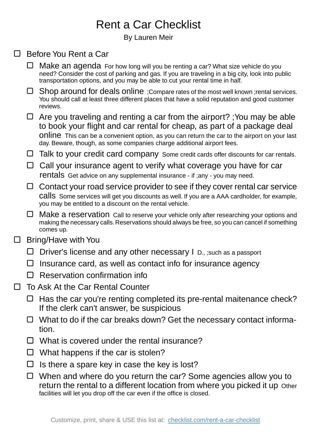## Rent a Car Checklist

By Lauren Meir

## □ Before You Rent a Car

- $\Box$  Make an agenda For how long will you be renting a car? What size vehicle do you need? Consider the cost of parking and gas. If you are traveling in a big city, look into public transportation options, and you may be able to cut your rental time in half.
- Shop around for deals online ;Compare rates of the most well known ;rental services. You should call at least three different places that have a solid reputation and good customer reviews.
- $\Box$  Are you traveling and renting a car from the airport? ; You may be able to book your flight and car rental for cheap, as part of a package deal online This can be a convenient option, as you can return the car to the airport on your last day. Beware, though, as some companies charge additional airport fees.
- $\Box$  Talk to your credit card company Some credit cards offer discounts for car rentals.
- $\Box$  Call your insurance agent to verify what coverage you have for car rentals Get advice on any supplemental insurance - if ;any - you may need.
- $\Box$  Contact your road service provider to see if they cover rental car service calls Some services will get you discounts as well. If you are a AAA cardholder, for example, you may be entitled to a discount on the rental vehicle.
- □ Make a reservation Call to reserve your vehicle only after researching your options and making the necessary calls. Reservations should always be free, so you can cancel if something comes up.
- Bring/Have with You  $\Box$ 
	- $\Box$  Driver's license and any other necessary I D., ; such as a passport
	- $\Box$  Insurance card, as well as contact info for insurance agency
	- $\Box$  Reservation confirmation info
- $\Box$ To Ask At the Car Rental Counter
	- $\Box$  Has the car you're renting completed its pre-rental maitenance check? If the clerk can't answer, be suspicious
	- $\Box$  What to do if the car breaks down? Get the necessary contact information.
	- $\Box$  What is covered under the rental insurance?
	- $\Box$  What happens if the car is stolen?
	- $\Box$  Is there a spare key in case the key is lost?
	- $\Box$  When and where do you return the car? Some agencies allow you to return the rental to a different location from where you picked it up Other facilities will let you drop off the car even if the office is closed.